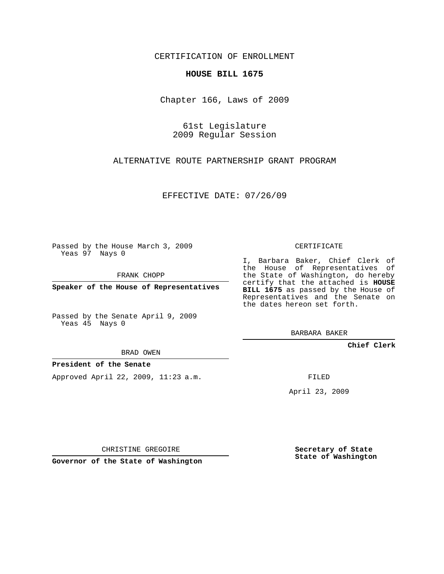## CERTIFICATION OF ENROLLMENT

## **HOUSE BILL 1675**

Chapter 166, Laws of 2009

61st Legislature 2009 Regular Session

ALTERNATIVE ROUTE PARTNERSHIP GRANT PROGRAM

EFFECTIVE DATE: 07/26/09

Passed by the House March 3, 2009 Yeas 97 Nays 0

FRANK CHOPP

**Speaker of the House of Representatives**

Passed by the Senate April 9, 2009 Yeas 45 Nays 0

BRAD OWEN

## **President of the Senate**

Approved April 22, 2009, 11:23 a.m.

CERTIFICATE

I, Barbara Baker, Chief Clerk of the House of Representatives of the State of Washington, do hereby certify that the attached is **HOUSE BILL 1675** as passed by the House of Representatives and the Senate on the dates hereon set forth.

BARBARA BAKER

**Chief Clerk**

FILED

April 23, 2009

CHRISTINE GREGOIRE

**Governor of the State of Washington**

**Secretary of State State of Washington**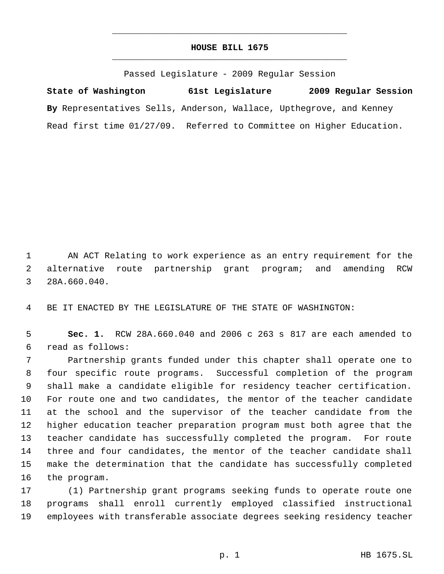## **HOUSE BILL 1675** \_\_\_\_\_\_\_\_\_\_\_\_\_\_\_\_\_\_\_\_\_\_\_\_\_\_\_\_\_\_\_\_\_\_\_\_\_\_\_\_\_\_\_\_\_

\_\_\_\_\_\_\_\_\_\_\_\_\_\_\_\_\_\_\_\_\_\_\_\_\_\_\_\_\_\_\_\_\_\_\_\_\_\_\_\_\_\_\_\_\_

Passed Legislature - 2009 Regular Session

**State of Washington 61st Legislature 2009 Regular Session By** Representatives Sells, Anderson, Wallace, Upthegrove, and Kenney Read first time 01/27/09. Referred to Committee on Higher Education.

 AN ACT Relating to work experience as an entry requirement for the alternative route partnership grant program; and amending RCW 28A.660.040.

BE IT ENACTED BY THE LEGISLATURE OF THE STATE OF WASHINGTON:

 **Sec. 1.** RCW 28A.660.040 and 2006 c 263 s 817 are each amended to read as follows:

 Partnership grants funded under this chapter shall operate one to four specific route programs. Successful completion of the program shall make a candidate eligible for residency teacher certification. For route one and two candidates, the mentor of the teacher candidate at the school and the supervisor of the teacher candidate from the higher education teacher preparation program must both agree that the teacher candidate has successfully completed the program. For route three and four candidates, the mentor of the teacher candidate shall make the determination that the candidate has successfully completed the program.

 (1) Partnership grant programs seeking funds to operate route one programs shall enroll currently employed classified instructional employees with transferable associate degrees seeking residency teacher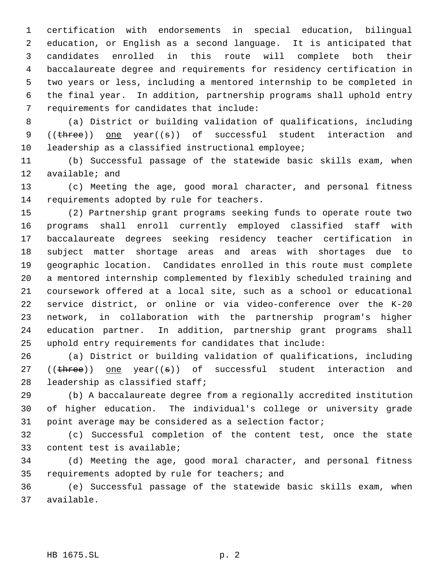certification with endorsements in special education, bilingual education, or English as a second language. It is anticipated that candidates enrolled in this route will complete both their baccalaureate degree and requirements for residency certification in two years or less, including a mentored internship to be completed in the final year. In addition, partnership programs shall uphold entry requirements for candidates that include:

 (a) District or building validation of qualifications, including 9 ((three)) one year((s)) of successful student interaction and leadership as a classified instructional employee;

 (b) Successful passage of the statewide basic skills exam, when available; and

 (c) Meeting the age, good moral character, and personal fitness requirements adopted by rule for teachers.

 (2) Partnership grant programs seeking funds to operate route two programs shall enroll currently employed classified staff with baccalaureate degrees seeking residency teacher certification in subject matter shortage areas and areas with shortages due to geographic location. Candidates enrolled in this route must complete a mentored internship complemented by flexibly scheduled training and coursework offered at a local site, such as a school or educational service district, or online or via video-conference over the K-20 network, in collaboration with the partnership program's higher education partner. In addition, partnership grant programs shall uphold entry requirements for candidates that include:

 (a) District or building validation of qualifications, including 27 (( $three$ ) one year( $(s)$ ) of successful student interaction and leadership as classified staff;

 (b) A baccalaureate degree from a regionally accredited institution of higher education. The individual's college or university grade point average may be considered as a selection factor;

 (c) Successful completion of the content test, once the state content test is available;

 (d) Meeting the age, good moral character, and personal fitness requirements adopted by rule for teachers; and

 (e) Successful passage of the statewide basic skills exam, when available.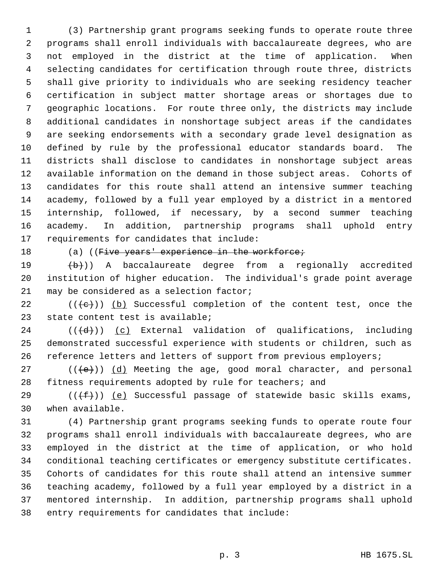(3) Partnership grant programs seeking funds to operate route three programs shall enroll individuals with baccalaureate degrees, who are not employed in the district at the time of application. When selecting candidates for certification through route three, districts shall give priority to individuals who are seeking residency teacher certification in subject matter shortage areas or shortages due to geographic locations. For route three only, the districts may include additional candidates in nonshortage subject areas if the candidates are seeking endorsements with a secondary grade level designation as defined by rule by the professional educator standards board. The districts shall disclose to candidates in nonshortage subject areas available information on the demand in those subject areas. Cohorts of candidates for this route shall attend an intensive summer teaching academy, followed by a full year employed by a district in a mentored internship, followed, if necessary, by a second summer teaching academy. In addition, partnership programs shall uphold entry requirements for candidates that include:

18 (a) ((Five years' experience in the workforce;

 $(19 \t (b))$  A baccalaureate degree from a regionally accredited institution of higher education. The individual's grade point average 21 may be considered as a selection factor;

22  $((+e))$  (b) Successful completion of the content test, once the state content test is available;

24  $((\{d\})$   $(c)$  External validation of qualifications, including demonstrated successful experience with students or children, such as 26 reference letters and letters of support from previous employers;

27 ( $(\langle e \rangle)$ ) (d) Meeting the age, good moral character, and personal fitness requirements adopted by rule for teachers; and

29 ( $(\overline{f})$ ) (e) Successful passage of statewide basic skills exams, when available.

 (4) Partnership grant programs seeking funds to operate route four programs shall enroll individuals with baccalaureate degrees, who are employed in the district at the time of application, or who hold conditional teaching certificates or emergency substitute certificates. Cohorts of candidates for this route shall attend an intensive summer teaching academy, followed by a full year employed by a district in a mentored internship. In addition, partnership programs shall uphold entry requirements for candidates that include: